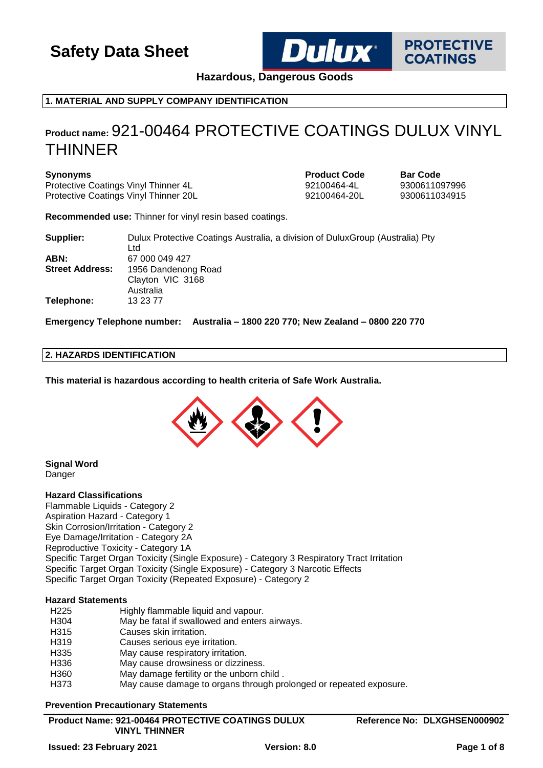

**PROTECTIVE COATINGS** 

**Hazardous, Dangerous Goods**

## **1. MATERIAL AND SUPPLY COMPANY IDENTIFICATION**

## **Product name:** 921-00464 PROTECTIVE COATINGS DULUX VINYL THINNER

Protective Coatings Vinyl Thinner 4L<br>
Protective Coatings Vinyl Thinner 20L<br>
92100464-20L 9300611034915 Protective Coatings Vinyl Thinner 20L

**Synonyms Product Code Bar** Code

**Recommended use:** Thinner for vinyl resin based coatings.

| Supplier:              | Dulux Protective Coatings Australia, a division of Dulux Group (Australia) Pty<br>Ltd |
|------------------------|---------------------------------------------------------------------------------------|
|                        |                                                                                       |
| ABN:                   | 67 000 049 427                                                                        |
| <b>Street Address:</b> | 1956 Dandenong Road                                                                   |
|                        | Clayton VIC 3168                                                                      |
|                        | Australia                                                                             |
| Telephone:             | 13 23 77                                                                              |

**Emergency Telephone number: Australia – 1800 220 770; New Zealand – 0800 220 770**

#### **2. HAZARDS IDENTIFICATION**

**This material is hazardous according to health criteria of Safe Work Australia.**



**Signal Word Danger** 

## **Hazard Classifications**

Flammable Liquids - Category 2 Aspiration Hazard - Category 1 Skin Corrosion/Irritation - Category 2 Eye Damage/Irritation - Category 2A Reproductive Toxicity - Category 1A Specific Target Organ Toxicity (Single Exposure) - Category 3 Respiratory Tract Irritation Specific Target Organ Toxicity (Single Exposure) - Category 3 Narcotic Effects Specific Target Organ Toxicity (Repeated Exposure) - Category 2

### **Hazard Statements**

| H <sub>225</sub> | Highly flammable liquid and vapour.                                |
|------------------|--------------------------------------------------------------------|
| H304             | May be fatal if swallowed and enters airways.                      |
| H315             | Causes skin irritation.                                            |
| H319             | Causes serious eye irritation.                                     |
| H <sub>335</sub> | May cause respiratory irritation.                                  |
| H336             | May cause drowsiness or dizziness.                                 |
| H <sub>360</sub> | May damage fertility or the unborn child.                          |
| H373             | May cause damage to organs through prolonged or repeated exposure. |

#### **Prevention Precautionary Statements**

| <b>Product Name: 921-00464 PROTECTIVE COATINGS DULUX</b> |
|----------------------------------------------------------|
| <b>VINYL THINNER</b>                                     |

**Reference No: DLXGHSEN000902**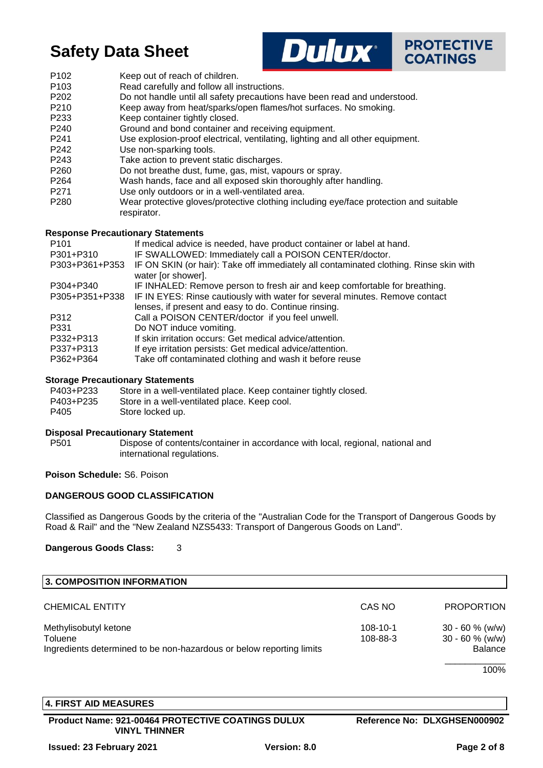



- P102 Keep out of reach of children.
- P103 Read carefully and follow all instructions.
- P202 Do not handle until all safety precautions have been read and understood.
- P210 Keep away from heat/sparks/open flames/hot surfaces. No smoking.
- P233 Keep container tightly closed.
- P240 Ground and bond container and receiving equipment.
- P241 Use explosion-proof electrical, ventilating, lighting and all other equipment.
- P242 Use non-sparking tools.
- P243 Take action to prevent static discharges.
- P260 Do not breathe dust, fume, gas, mist, vapours or spray.
- P264 Wash hands, face and all exposed skin thoroughly after handling.
- P271 Use only outdoors or in a well-ventilated area.
- P280 Wear protective gloves/protective clothing including eye/face protection and suitable respirator.

#### **Response Precautionary Statements**

| If medical advice is needed, have product container or label at hand.                                       |
|-------------------------------------------------------------------------------------------------------------|
| IF SWALLOWED: Immediately call a POISON CENTER/doctor.                                                      |
| IF ON SKIN (or hair): Take off immediately all contaminated clothing. Rinse skin with<br>water [or shower]. |
| IF INHALED: Remove person to fresh air and keep comfortable for breathing.                                  |
| IF IN EYES: Rinse cautiously with water for several minutes. Remove contact                                 |
| lenses, if present and easy to do. Continue rinsing.                                                        |
| Call a POISON CENTER/doctor if you feel unwell.                                                             |
| Do NOT induce vomiting.                                                                                     |
| If skin irritation occurs: Get medical advice/attention.                                                    |
| If eye irritation persists: Get medical advice/attention.                                                   |
| Take off contaminated clothing and wash it before reuse                                                     |
|                                                                                                             |

## **Storage Precautionary Statements**

| P403+P233 | Store in a well-ventilated place. Keep container tightly closed. |
|-----------|------------------------------------------------------------------|
| P403+P235 | Store in a well-ventilated place. Keep cool.                     |
| P405      | Store locked up.                                                 |

## **Disposal Precautionary Statement**

P501 Dispose of contents/container in accordance with local, regional, national and international regulations.

## **Poison Schedule:** S6. Poison

## **DANGEROUS GOOD CLASSIFICATION**

Classified as Dangerous Goods by the criteria of the "Australian Code for the Transport of Dangerous Goods by Road & Rail" and the "New Zealand NZS5433: Transport of Dangerous Goods on Land".

**Dangerous Goods Class:** 3

| 3. COMPOSITION INFORMATION                                           |                |                   |
|----------------------------------------------------------------------|----------------|-------------------|
| <b>CHEMICAL ENTITY</b>                                               | CAS NO         | <b>PROPORTION</b> |
| Methylisobutyl ketone                                                | $108 - 10 - 1$ | $30 - 60$ % (w/w) |
| Toluene                                                              | 108-88-3       | $30 - 60 %$ (w/w) |
| Ingredients determined to be non-hazardous or below reporting limits |                | <b>Balance</b>    |
|                                                                      |                | 100%              |

## **4. FIRST AID MEASURES**

**Product Name: 921-00464 PROTECTIVE COATINGS DULUX VINYL THINNER**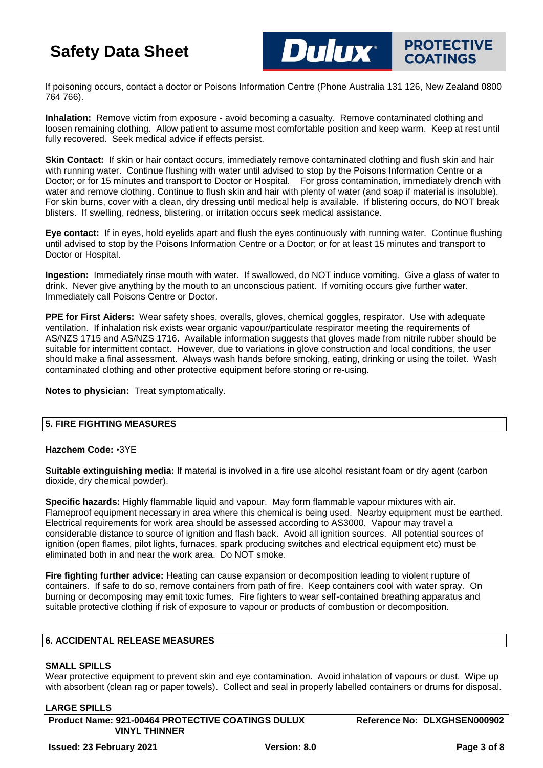If poisoning occurs, contact a doctor or Poisons Information Centre (Phone Australia 131 126, New Zealand 0800 764 766).

**DUIUX** PROTECTIVE

**COATINGS** 

**Inhalation:** Remove victim from exposure - avoid becoming a casualty. Remove contaminated clothing and loosen remaining clothing. Allow patient to assume most comfortable position and keep warm. Keep at rest until fully recovered. Seek medical advice if effects persist.

**Skin Contact:** If skin or hair contact occurs, immediately remove contaminated clothing and flush skin and hair with running water. Continue flushing with water until advised to stop by the Poisons Information Centre or a Doctor; or for 15 minutes and transport to Doctor or Hospital. For gross contamination, immediately drench with water and remove clothing. Continue to flush skin and hair with plenty of water (and soap if material is insoluble). For skin burns, cover with a clean, dry dressing until medical help is available. If blistering occurs, do NOT break blisters. If swelling, redness, blistering, or irritation occurs seek medical assistance.

**Eye contact:** If in eyes, hold eyelids apart and flush the eyes continuously with running water. Continue flushing until advised to stop by the Poisons Information Centre or a Doctor; or for at least 15 minutes and transport to Doctor or Hospital.

**Ingestion:** Immediately rinse mouth with water. If swallowed, do NOT induce vomiting. Give a glass of water to drink. Never give anything by the mouth to an unconscious patient. If vomiting occurs give further water. Immediately call Poisons Centre or Doctor.

**PPE for First Aiders:** Wear safety shoes, overalls, gloves, chemical goggles, respirator. Use with adequate ventilation. If inhalation risk exists wear organic vapour/particulate respirator meeting the requirements of AS/NZS 1715 and AS/NZS 1716. Available information suggests that gloves made from nitrile rubber should be suitable for intermittent contact. However, due to variations in glove construction and local conditions, the user should make a final assessment. Always wash hands before smoking, eating, drinking or using the toilet. Wash contaminated clothing and other protective equipment before storing or re-using.

**Notes to physician:** Treat symptomatically.

## **5. FIRE FIGHTING MEASURES**

#### **Hazchem Code:** •3YE

**Suitable extinguishing media:** If material is involved in a fire use alcohol resistant foam or dry agent (carbon dioxide, dry chemical powder).

**Specific hazards:** Highly flammable liquid and vapour. May form flammable vapour mixtures with air. Flameproof equipment necessary in area where this chemical is being used. Nearby equipment must be earthed. Electrical requirements for work area should be assessed according to AS3000. Vapour may travel a considerable distance to source of ignition and flash back. Avoid all ignition sources. All potential sources of ignition (open flames, pilot lights, furnaces, spark producing switches and electrical equipment etc) must be eliminated both in and near the work area. Do NOT smoke.

**Fire fighting further advice:** Heating can cause expansion or decomposition leading to violent rupture of containers. If safe to do so, remove containers from path of fire. Keep containers cool with water spray. On burning or decomposing may emit toxic fumes. Fire fighters to wear self-contained breathing apparatus and suitable protective clothing if risk of exposure to vapour or products of combustion or decomposition.

#### **6. ACCIDENTAL RELEASE MEASURES**

## **SMALL SPILLS**

Wear protective equipment to prevent skin and eye contamination. Avoid inhalation of vapours or dust. Wipe up with absorbent (clean rag or paper towels). Collect and seal in properly labelled containers or drums for disposal.

#### **LARGE SPILLS**

**Product Name: 921-00464 PROTECTIVE COATINGS DULUX VINYL THINNER**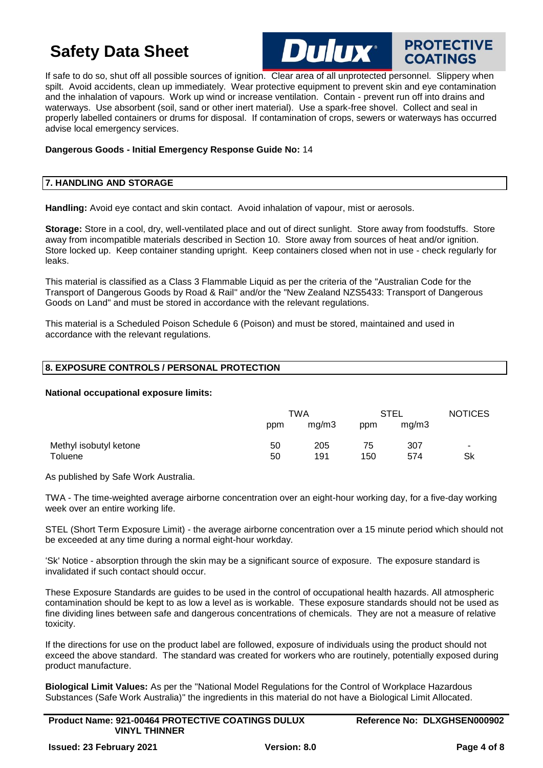

**PROTECTIVE** 

**COATINGS** 

#### If safe to do so, shut off all possible sources of ignition. Clear area of all unprotected personnel. Slippery when spilt. Avoid accidents, clean up immediately. Wear protective equipment to prevent skin and eye contamination and the inhalation of vapours. Work up wind or increase ventilation. Contain - prevent run off into drains and waterways. Use absorbent (soil, sand or other inert material). Use a spark-free shovel. Collect and seal in properly labelled containers or drums for disposal. If contamination of crops, sewers or waterways has occurred advise local emergency services.

### **Dangerous Goods - Initial Emergency Response Guide No:** 14

### **7. HANDLING AND STORAGE**

**Handling:** Avoid eye contact and skin contact. Avoid inhalation of vapour, mist or aerosols.

**Storage:** Store in a cool, dry, well-ventilated place and out of direct sunlight. Store away from foodstuffs. Store away from incompatible materials described in Section 10. Store away from sources of heat and/or ignition. Store locked up. Keep container standing upright. Keep containers closed when not in use - check regularly for leaks.

This material is classified as a Class 3 Flammable Liquid as per the criteria of the "Australian Code for the Transport of Dangerous Goods by Road & Rail" and/or the "New Zealand NZS5433: Transport of Dangerous Goods on Land" and must be stored in accordance with the relevant regulations.

This material is a Scheduled Poison Schedule 6 (Poison) and must be stored, maintained and used in accordance with the relevant regulations.

#### **8. EXPOSURE CONTROLS / PERSONAL PROTECTION**

#### **National occupational exposure limits:**

|                        | TWA |       | <b>STEL</b> |       | <b>NOTICES</b> |
|------------------------|-----|-------|-------------|-------|----------------|
|                        | ppm | mq/m3 | ppm         | mq/m3 |                |
| Methyl isobutyl ketone | 50  | 205   | 75          | 307   | $\blacksquare$ |
| Toluene                | 50  | 191   | 150         | 574   | Sk             |

As published by Safe Work Australia.

TWA - The time-weighted average airborne concentration over an eight-hour working day, for a five-day working week over an entire working life.

STEL (Short Term Exposure Limit) - the average airborne concentration over a 15 minute period which should not be exceeded at any time during a normal eight-hour workday.

'Sk' Notice - absorption through the skin may be a significant source of exposure. The exposure standard is invalidated if such contact should occur.

These Exposure Standards are guides to be used in the control of occupational health hazards. All atmospheric contamination should be kept to as low a level as is workable. These exposure standards should not be used as fine dividing lines between safe and dangerous concentrations of chemicals. They are not a measure of relative toxicity.

If the directions for use on the product label are followed, exposure of individuals using the product should not exceed the above standard. The standard was created for workers who are routinely, potentially exposed during product manufacture.

**Biological Limit Values:** As per the "National Model Regulations for the Control of Workplace Hazardous Substances (Safe Work Australia)" the ingredients in this material do not have a Biological Limit Allocated.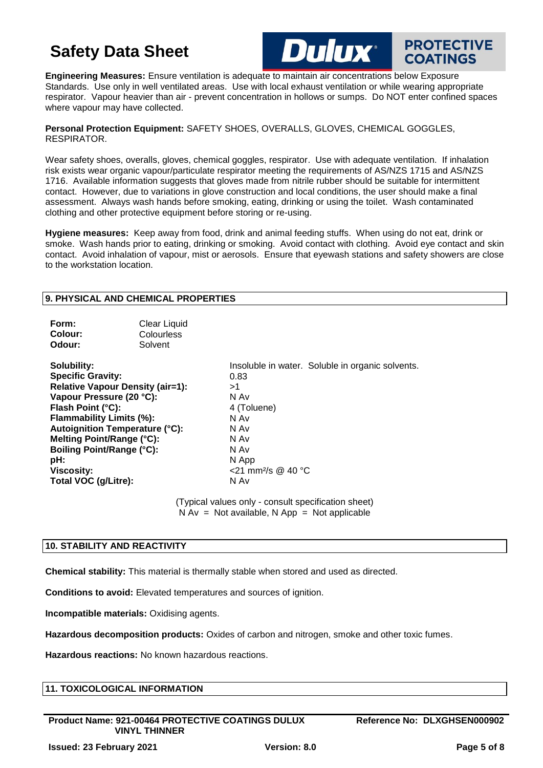**Engineering Measures:** Ensure ventilation is adequate to maintain air concentrations below Exposure Standards. Use only in well ventilated areas. Use with local exhaust ventilation or while wearing appropriate respirator. Vapour heavier than air - prevent concentration in hollows or sumps. Do NOT enter confined spaces where vapour may have collected.

**Dulux**®

#### **Personal Protection Equipment:** SAFETY SHOES, OVERALLS, GLOVES, CHEMICAL GOGGLES, RESPIRATOR.

Wear safety shoes, overalls, gloves, chemical goggles, respirator. Use with adequate ventilation. If inhalation risk exists wear organic vapour/particulate respirator meeting the requirements of AS/NZS 1715 and AS/NZS 1716. Available information suggests that gloves made from nitrile rubber should be suitable for intermittent contact. However, due to variations in glove construction and local conditions, the user should make a final assessment. Always wash hands before smoking, eating, drinking or using the toilet. Wash contaminated clothing and other protective equipment before storing or re-using.

**Hygiene measures:** Keep away from food, drink and animal feeding stuffs. When using do not eat, drink or smoke. Wash hands prior to eating, drinking or smoking. Avoid contact with clothing. Avoid eye contact and skin contact. Avoid inhalation of vapour, mist or aerosols. Ensure that eyewash stations and safety showers are close to the workstation location.

## **9. PHYSICAL AND CHEMICAL PROPERTIES**

| Form:<br>Colour:<br>Odour:                                                                                                                                                                                                                                                                                      | Clear Liquid<br>Colourless<br>Solvent |                                                                                                                                                                          |
|-----------------------------------------------------------------------------------------------------------------------------------------------------------------------------------------------------------------------------------------------------------------------------------------------------------------|---------------------------------------|--------------------------------------------------------------------------------------------------------------------------------------------------------------------------|
| Solubility:<br><b>Specific Gravity:</b><br>Relative Vapour Density (air=1):<br>Vapour Pressure (20 °C):<br>Flash Point (°C):<br><b>Flammability Limits (%):</b><br>Autoignition Temperature (°C):<br>Melting Point/Range (°C):<br>Boiling Point/Range (°C):<br>pH:<br><b>Viscosity:</b><br>Total VOC (g/Litre): |                                       | Insoluble in water. Soluble in organic solvents.<br>0.83<br>>1<br>N Av<br>4 (Toluene)<br>N Av<br>N Av<br>N Av<br>N Av<br>N App<br><21 mm <sup>2</sup> /s @ 40 °C<br>N Av |

(Typical values only - consult specification sheet)  $N Av = Not available, N App = Not applicable$ 

## **10. STABILITY AND REACTIVITY**

**Chemical stability:** This material is thermally stable when stored and used as directed.

**Conditions to avoid:** Elevated temperatures and sources of ignition.

**Incompatible materials:** Oxidising agents.

**Hazardous decomposition products:** Oxides of carbon and nitrogen, smoke and other toxic fumes.

**Hazardous reactions:** No known hazardous reactions.

## **11. TOXICOLOGICAL INFORMATION**

**Product Name: 921-00464 PROTECTIVE COATINGS DULUX VINYL THINNER**

**PROTECTIVE** 

**COATINGS**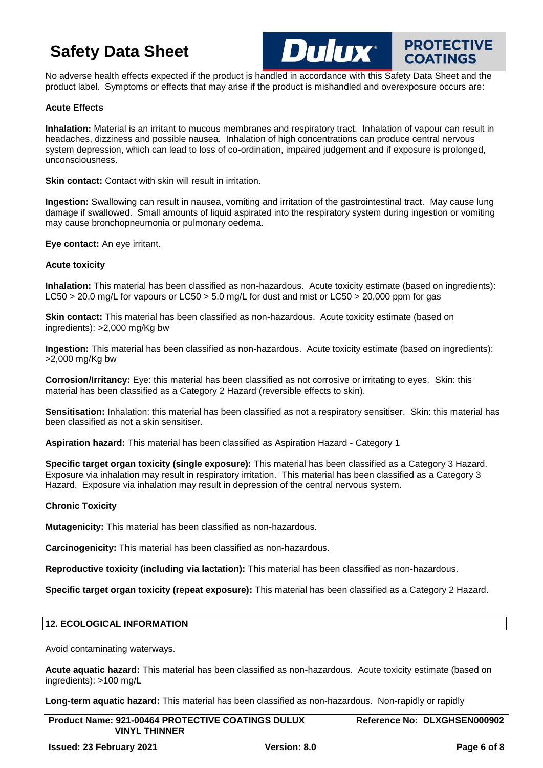No adverse health effects expected if the product is handled in accordance with this Safety Data Sheet and the product label. Symptoms or effects that may arise if the product is mishandled and overexposure occurs are:

**DUIUX** PROTECTIVE

#### **Acute Effects**

**Inhalation:** Material is an irritant to mucous membranes and respiratory tract. Inhalation of vapour can result in headaches, dizziness and possible nausea. Inhalation of high concentrations can produce central nervous system depression, which can lead to loss of co-ordination, impaired judgement and if exposure is prolonged, unconsciousness.

**Skin contact:** Contact with skin will result in irritation.

**Ingestion:** Swallowing can result in nausea, vomiting and irritation of the gastrointestinal tract. May cause lung damage if swallowed. Small amounts of liquid aspirated into the respiratory system during ingestion or vomiting may cause bronchopneumonia or pulmonary oedema.

**Eye contact:** An eye irritant.

#### **Acute toxicity**

**Inhalation:** This material has been classified as non-hazardous. Acute toxicity estimate (based on ingredients): LC50 > 20.0 mg/L for vapours or LC50 > 5.0 mg/L for dust and mist or LC50 > 20,000 ppm for gas

**Skin contact:** This material has been classified as non-hazardous. Acute toxicity estimate (based on ingredients): >2,000 mg/Kg bw

**Ingestion:** This material has been classified as non-hazardous. Acute toxicity estimate (based on ingredients): >2,000 mg/Kg bw

**Corrosion/Irritancy:** Eye: this material has been classified as not corrosive or irritating to eyes. Skin: this material has been classified as a Category 2 Hazard (reversible effects to skin).

**Sensitisation:** Inhalation: this material has been classified as not a respiratory sensitiser. Skin: this material has been classified as not a skin sensitiser.

**Aspiration hazard:** This material has been classified as Aspiration Hazard - Category 1

**Specific target organ toxicity (single exposure):** This material has been classified as a Category 3 Hazard. Exposure via inhalation may result in respiratory irritation. This material has been classified as a Category 3 Hazard. Exposure via inhalation may result in depression of the central nervous system.

#### **Chronic Toxicity**

**Mutagenicity:** This material has been classified as non-hazardous.

**Carcinogenicity:** This material has been classified as non-hazardous.

**Reproductive toxicity (including via lactation):** This material has been classified as non-hazardous.

**Specific target organ toxicity (repeat exposure):** This material has been classified as a Category 2 Hazard.

## **12. ECOLOGICAL INFORMATION**

Avoid contaminating waterways.

**Acute aquatic hazard:** This material has been classified as non-hazardous. Acute toxicity estimate (based on ingredients): >100 mg/L

**Long-term aquatic hazard:** This material has been classified as non-hazardous. Non-rapidly or rapidly

| <b>Product Name: 921-00464 PROTECTIVE COATINGS DULUX</b> | Reference No: DLXGHSEN000902 |
|----------------------------------------------------------|------------------------------|
| <b>VINYL THINNER</b>                                     |                              |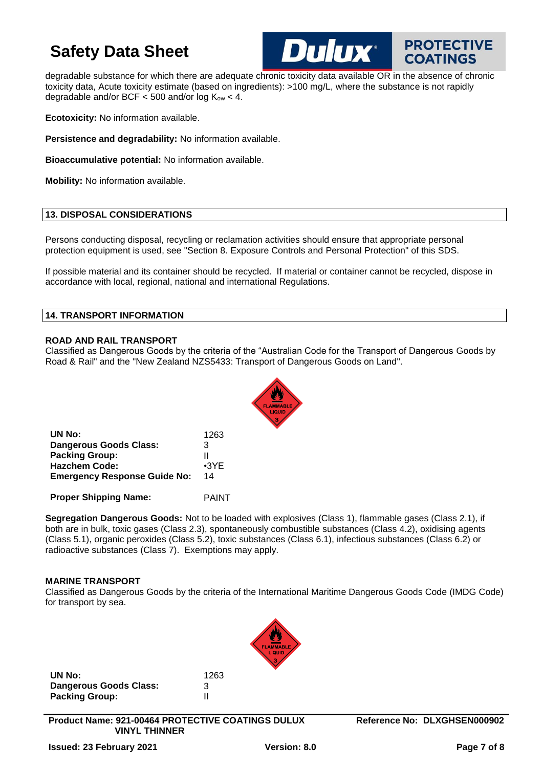

**PROTECTIVE** 

degradable substance for which there are adequate chronic toxicity data available OR in the absence of chronic toxicity data, Acute toxicity estimate (based on ingredients): >100 mg/L, where the substance is not rapidly degradable and/or BCF  $<$  500 and/or log  $K_{ow}$   $<$  4.

**Ecotoxicity:** No information available.

**Persistence and degradability:** No information available.

**Bioaccumulative potential:** No information available.

**Mobility:** No information available.

## **13. DISPOSAL CONSIDERATIONS**

Persons conducting disposal, recycling or reclamation activities should ensure that appropriate personal protection equipment is used, see "Section 8. Exposure Controls and Personal Protection" of this SDS.

If possible material and its container should be recycled. If material or container cannot be recycled, dispose in accordance with local, regional, national and international Regulations.

#### **14. TRANSPORT INFORMATION**

#### **ROAD AND RAIL TRANSPORT**

Classified as Dangerous Goods by the criteria of the "Australian Code for the Transport of Dangerous Goods by Road & Rail" and the "New Zealand NZS5433: Transport of Dangerous Goods on Land".



| UN No:                              | 1263        |
|-------------------------------------|-------------|
| <b>Dangerous Goods Class:</b>       | 3           |
| <b>Packing Group:</b>               | Ш           |
| <b>Hazchem Code:</b>                | $\cdot$ 3YE |
| <b>Emergency Response Guide No:</b> | 14          |
|                                     |             |

**Proper Shipping Name:** PAINT

**Segregation Dangerous Goods:** Not to be loaded with explosives (Class 1), flammable gases (Class 2.1), if both are in bulk, toxic gases (Class 2.3), spontaneously combustible substances (Class 4.2), oxidising agents (Class 5.1), organic peroxides (Class 5.2), toxic substances (Class 6.1), infectious substances (Class 6.2) or radioactive substances (Class 7). Exemptions may apply.

## **MARINE TRANSPORT**

Classified as Dangerous Goods by the criteria of the International Maritime Dangerous Goods Code (IMDG Code) for transport by sea.

| UN No:                 | 1263 |
|------------------------|------|
| Dangerous Goods Class: | 3    |
| <b>Packing Group:</b>  | Ш    |